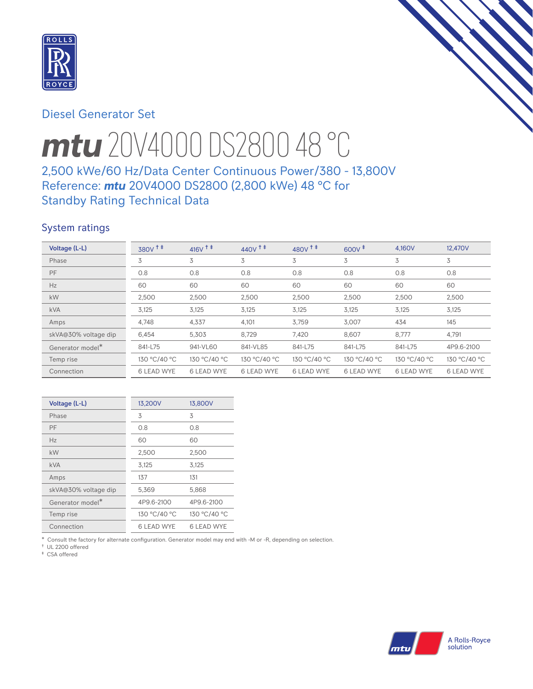

# Diesel Generator Set

# *mtu* 20V4000 DS2800 48 °C

# 2,500 kWe/60 Hz/Data Center Continuous Power/380 - 13,800V Reference: *mtu* 20V4000 DS2800 (2,800 kWe) 48 °C for Standby Rating Technical Data

## System ratings

| Voltage (L-L)                | 380V <sup>+</sup> | $416V$ <sup>++</sup> | $440V$ <sup>++</sup> | $480V$ <sup>++</sup> | $600V^{\ddagger}$ | 4.160V            | 12,470V           |
|------------------------------|-------------------|----------------------|----------------------|----------------------|-------------------|-------------------|-------------------|
| Phase                        | 3                 | 3                    | 3                    | 3                    | 3                 | 3                 | 3                 |
| PF                           | 0.8               | 0.8                  | 0.8                  | 0.8                  | 0.8               | 0.8               | 0.8               |
| Hz                           | 60                | 60                   | 60                   | 60                   | 60                | 60                | 60                |
| kW                           | 2,500             | 2,500                | 2,500                | 2,500                | 2,500             | 2,500             | 2,500             |
| <b>kVA</b>                   | 3,125             | 3,125                | 3,125                | 3,125                | 3,125             | 3,125             | 3,125             |
| Amps                         | 4,748             | 4,337                | 4,101                | 3,759                | 3,007             | 434               | 145               |
| skVA@30% voltage dip         | 6,454             | 5,303                | 8,729                | 7,420                | 8.607             | 8,777             | 4,791             |
| Generator model <sup>*</sup> | 841-L75           | 941-VL60             | 841-VL85             | 841-L75              | 841-L75           | 841-L75           | 4P9.6-2100        |
| Temp rise                    | 130 °C/40 °C      | 130 °C/40 °C         | 130 °C/40 °C         | 130 °C/40 °C         | 130 °C/40 °C      | 130 °C/40 °C      | 130 °C/40 °C      |
| Connection                   | <b>6 LEAD WYE</b> | <b>6 LEAD WYE</b>    | <b>6 LEAD WYE</b>    | <b>6 LEAD WYE</b>    | <b>6 LEAD WYE</b> | <b>6 LEAD WYE</b> | <b>6 LEAD WYE</b> |

| Voltage (L-L)                | 13,200V           | 13,800V           |
|------------------------------|-------------------|-------------------|
| Phase                        | 3                 | 3                 |
| PF                           | 0.8               | 0.8               |
| Hz                           | 60                | 60                |
| kW                           | 2,500             | 2,500             |
| <b>kVA</b>                   | 3,125             | 3,125             |
| Amps                         | 137               | 131               |
| skVA@30% voltage dip         | 5,369             | 5,868             |
| Generator model <sup>*</sup> | 4P9.6-2100        | 4P9.6-2100        |
| Temp rise                    | 130 °C/40 °C      | 130 °C/40 °C      |
| Connection                   | <b>6 LEAD WYE</b> | <b>6 LEAD WYE</b> |

\* Consult the factory for alternate configuration. Generator model may end with -M or -R, depending on selection.

† UL 2200 offered ‡ CSA offered

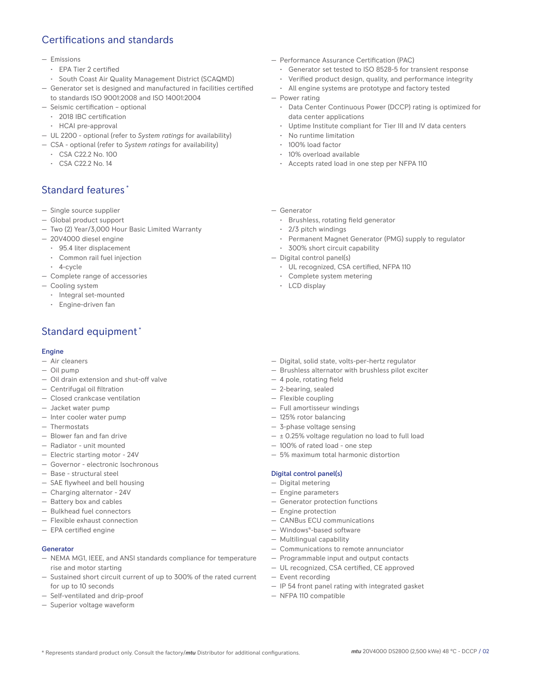# Certifications and standards

#### — Emissions

- EPA Tier 2 certified
- South Coast Air Quality Management District (SCAQMD)
- Generator set is designed and manufactured in facilities certified to standards ISO 9001:2008 and ISO 14001:2004
- Seismic certification optional
	- 2018 IBC certification
	- HCAI pre-approval
- UL 2200 optional (refer to *System ratings* for availability)
- CSA optional (refer to *System ratings* for availability)
	- CSA C22.2 No. 100
	- CSA C22.2 No. 14

## Standard features \*

- Single source supplier
- Global product support
- Two (2) Year/3,000 Hour Basic Limited Warranty
- 20V4000 diesel engine
	- 95.4 liter displacement
	- Common rail fuel injection
	- 4-cycle
- Complete range of accessories
- Cooling system
	- Integral set-mounted
	- Engine-driven fan

# Standard equipment \*

### Engine

- Air cleaners
- Oil pump
- Oil drain extension and shut-off valve
- Centrifugal oil filtration
- Closed crankcase ventilation
- Jacket water pump
- Inter cooler water pump
- Thermostats
- Blower fan and fan drive
- Radiator unit mounted
- Electric starting motor 24V
- Governor electronic Isochronous
- Base structural steel
- SAE flywheel and bell housing
- Charging alternator 24V
- Battery box and cables
- Bulkhead fuel connectors
- Flexible exhaust connection
- EPA certified engine

## Generator

- NEMA MG1, IEEE, and ANSI standards compliance for temperature rise and motor starting
- Sustained short circuit current of up to 300% of the rated current for up to 10 seconds
- Self-ventilated and drip-proof
- Superior voltage waveform
- Performance Assurance Certification (PAC)
	- Generator set tested to ISO 8528-5 for transient response
	- Verified product design, quality, and performance integrity
	- All engine systems are prototype and factory tested
- Power rating
	- Data Center Continuous Power (DCCP) rating is optimized for data center applications
	- Uptime Institute compliant for Tier III and IV data centers
	- No runtime limitation
	- 100% load factor
	- 10% overload available
	- Accepts rated load in one step per NFPA 110
- Generator
	- Brushless, rotating field generator
	- 2/3 pitch windings
	- Permanent Magnet Generator (PMG) supply to regulator
	- 300% short circuit capability
- Digital control panel(s)
	- UL recognized, CSA certified, NFPA 110
	- Complete system metering
	- LCD display
- Digital, solid state, volts-per-hertz regulator
- Brushless alternator with brushless pilot exciter
- 4 pole, rotating field
- 2-bearing, sealed
- Flexible coupling
- Full amortisseur windings
- 125% rotor balancing
- 3-phase voltage sensing
- $\pm$  0.25% voltage regulation no load to full load
- 100% of rated load one step
- 5% maximum total harmonic distortion

#### Digital control panel(s)

- Digital metering
- Engine parameters
- Generator protection functions
- Engine protection
- CANBus ECU communications
- Windows®-based software
- Multilingual capability
- Communications to remote annunciator
- Programmable input and output contacts
- UL recognized, CSA certified, CE approved
- Event recording
- IP 54 front panel rating with integrated gasket
- NFPA 110 compatible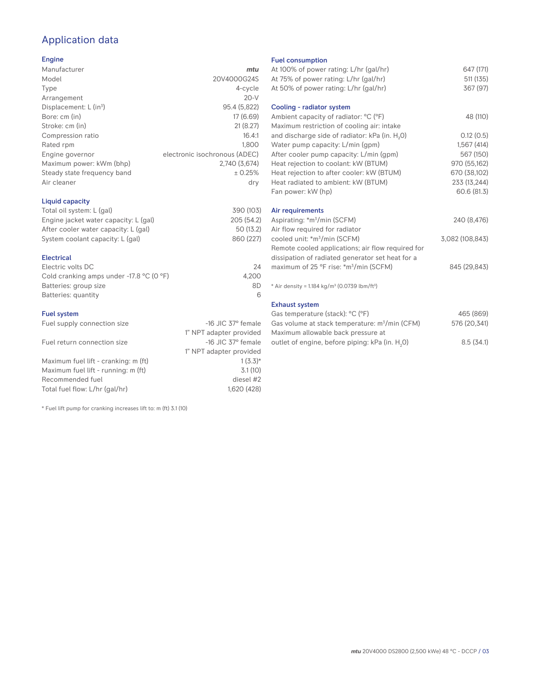# Application data

## Engine

| Manufacturer                         | mtu                           |
|--------------------------------------|-------------------------------|
| Model                                | 20V4000G24S                   |
| Type                                 | 4-cycle                       |
| Arrangement                          | $20-V$                        |
| Displacement: $L$ (in <sup>3</sup> ) | 95.4 (5,822)                  |
| Bore: cm (in)                        | 17 (6.69)                     |
| Stroke: cm (in)                      | 21(8.27)                      |
| Compression ratio                    | 16.4:1                        |
| Rated rpm                            | 1.800                         |
| Engine governor                      | electronic isochronous (ADEC) |
| Maximum power: kWm (bhp)             | 2.740 (3.674)                 |
| Steady state frequency band          | ± 0.25%                       |
| Air cleaner                          | dry                           |
|                                      |                               |

## Liquid capacity

| Total oil system: L (gal)             | 390 (103)  |
|---------------------------------------|------------|
| Engine jacket water capacity: L (gal) | 205 (54.2) |
| After cooler water capacity: L (gal)  | 50 (13.2)  |
| System coolant capacity: L (gal)      | 860 (227)  |
|                                       |            |

## Electrical

| Electric volts DC                                            | 24    |
|--------------------------------------------------------------|-------|
| Cold cranking amps under -17.8 $^{\circ}$ C (O $^{\circ}$ F) | 4.200 |
| Batteries: group size                                        | 8D    |
| Batteries: quantity                                          |       |

## Fuel system

| Fuel supply connection size          | $-16$ JIC 37 $\degree$ female |
|--------------------------------------|-------------------------------|
|                                      | 1" NPT adapter provided       |
| Fuel return connection size          | $-16$ JIC 37 $\degree$ female |
|                                      | 1" NPT adapter provided       |
| Maximum fuel lift - cranking: m (ft) | $1(3.3)*$                     |
| Maximum fuel lift - running: m (ft)  | 3.1(10)                       |
| Recommended fuel                     | diesel #2                     |
| Total fuel flow: L/hr (gal/hr)       | 1,620 (428)                   |

\* Fuel lift pump for cranking increases lift to: m (ft) 3.1 (10)

### Fuel consumption

| At 100% of power rating: L/hr (gal/hr)                                              | 647 (171)       |
|-------------------------------------------------------------------------------------|-----------------|
| At 75% of power rating: L/hr (gal/hr)                                               | 511 (135)       |
| At 50% of power rating: L/hr (gal/hr)                                               | 367 (97)        |
| Cooling - radiator system                                                           |                 |
| Ambient capacity of radiator: °C (°F)<br>Maximum restriction of cooling air: intake | 48 (110)        |
| and discharge side of radiator: kPa (in. H <sub>2</sub> 0)                          | 0.12(0.5)       |
| Water pump capacity: L/min (gpm)                                                    | 1,567(414)      |
| After cooler pump capacity: L/min (gpm)                                             | 567 (150)       |
| Heat rejection to coolant: kW (BTUM)                                                | 970 (55,162)    |
| Heat rejection to after cooler: kW (BTUM)                                           | 670 (38,102)    |
| Heat radiated to ambient: kW (BTUM)                                                 | 233 (13,244)    |
| Fan power: kW (hp)                                                                  | 60.6 (81.3)     |
| Air requirements                                                                    |                 |
| Aspirating: *m <sup>3</sup> /min (SCFM)                                             | 240 (8,476)     |
| Air flow required for radiator                                                      |                 |
| cooled unit: *m <sup>3</sup> /min (SCFM)                                            | 3,082 (108,843) |
| Remote cooled applications; air flow required for                                   |                 |
| dissipation of radiated generator set heat for a                                    |                 |
| maximum of 25 °F rise: *m <sup>3</sup> /min (SCFM)                                  | 845 (29,843)    |
| * Air density = 1.184 kg/m <sup>3</sup> (0.0739 lbm/ft <sup>3</sup> )               |                 |
| <b>Exhaust system</b>                                                               |                 |
| Gas temperature (stack): °C (°F)                                                    | 465 (869)       |
| Gas volume at stack temperature: m <sup>3</sup> /min (CFM)                          | 576 (20,341)    |

| Gas volume at stack temperature. In Jimii (CFM) | 370 (ZU,341) |
|-------------------------------------------------|--------------|
| Maximum allowable back pressure at              |              |
| outlet of engine, before piping: kPa (in. H.O)  | 8.5(34.1)    |